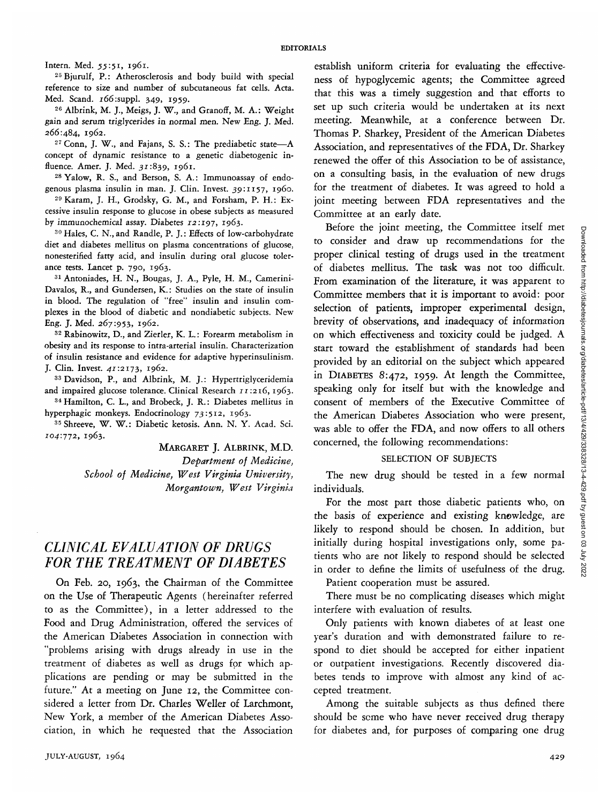Intern. Med. *55:51,* 1961.

<sup>25</sup> Bjurulf, P.: Atherosclerosis and body build with special reference to size and number of subcutaneous fat cells. Acta. Med. Scand. *166*:suppl. 349, 1959.

<sup>26</sup> Albrink, M. J., Meigs, J. W., and Granoff, M. A.: Weight gain and serum triglycerides in normal men. New Eng. J. Med. *266:484,* 1962.

<sup>27</sup> Conn, J. W., and Fajans, S. S.: The prediabetic state—A concept of dynamic resistance to a genetic diabetogenic influence. Amer. J. Med. 31:839, 1961.

<sup>28</sup> Yalow, R. S., and Berson, S. A.: Immunoassay of endogenous plasma insulin in man. J. Clin. Invest. 39:1157, 1960.

<sup>29</sup> Karam, J. H., Grodsky, G. M., and Forsham, P. H.: Excessive insulin response to glucose in obese subjects as measured by immunochemical assay. Diabetes 12:197, 1963.

<sup>30</sup> Hales, C. N., and Randle, P. J.: Effects of low-carbohydrate diet and diabetes mellitus on plasma concentrations of glucose, nonesterified fatty acid, and insulin during oral glucose tolerance tests. Lancet p.  $790, 1963$ .

<sup>31</sup> Antoniades, H. N., Bougas, J. A., Pyle, H. M., Camerini-Davalos, R., and Gundersen, K.: Studies on the state of insulin in blood. The regulation of "free" insulin and insulin complexes in the blood of diabetic and nondiabetic subjects. New Eng. J. Med. 267:953, 1962.

<sup>32</sup> Rabinowitz, D., and Zierler, K. L.: Forearm metabolism in obesity and its response to intra-arterial insulin. Characterization of insulin resistance and evidence for adaptive hyperinsulinism. J. Clin. Invest. 41:2173, 1962.

<sup>33</sup> Davidson, P., and Albrink, M. J.: Hypertriglyceridemia and impaired glucose tolerance. Clinical Research 11:216, 1963.

<sup>34</sup> Hamilton, C. L., and Brobeck, J. R.: Diabetes mellitus in hyperphagic monkeys. Endocrinology 73:512, 1963.

<sup>35</sup> Shreeve, W. W.: Diabetic ketosis. Ann. N. Y. Acad. Sci. *104:772,* 1963.

> MARGARET J. ALBRINK, M.D. *Department of Medicine, School of Medicine, West Virginia University, Morgantown, West Virginia*

## *CLINICAL EVALUATION OF DRUGS FOR THE TREATMENT OF DIABETES*

On Feb. 20, 1963, the Chairman of the Committee on the Use of Therapeutic Agents (hereinafter referred to as the Committee), in a letter addressed to the Food and Drug Administration, offered the services of the American Diabetes Association in connection with "problems arising with drugs already in use in the treatment of diabetes as well as drugs for which applications are pending or may be submitted in the future." At a meeting on June 12, the Committee considered a letter from Dr. Charles Weller of Larchmont, New York, a member of the American Diabetes Association, in which he requested that the Association

establish uniform criteria for evaluating the effectiveness of hypoglycemic agents; the Committee agreed that this was a timely suggestion and that efforts to set up such criteria would be undertaken at its next meeting. Meanwhile, at a conference between Dr. Thomas P. Sharkey, President of the American Diabetes Association, and representatives of the FDA, Dr. Sharkey renewed the offer of this Association to be of assistance, on a consulting basis, in the evaluation of new drugs for the treatment of diabetes. It was agreed to hold a joint meeting between FDA representatives and the Committee at an early date.

Before the joint meeting, the Committee itself met to consider and draw up recommendations for the proper clinical testing of drugs used in the treatment of diabetes mellitus. The task was not too difficult. From examination of the literature, it was apparent to Committee members that it is important to avoid: poor selection of patients, improper experimental design, brevity of observations, and inadequacy of information on which effectiveness and toxicity could be judged. A start toward the establishment of standards had been provided by an editorial on the subject which appeared in DIABETES 8:472, 1959. At length the Committee, speaking only for itself but with the knowledge and consent of members of the Executive Committee of the American Diabetes Association who were present, was able to offer the FDA, and now offers to all others concerned, the following recommendations:

#### SELECTION OF SUBJECTS

The new drug should be tested in a few normal individuals.

For the most part those diabetic patients who, on the basis of experience and existing knowledge, are likely to respond should be chosen. In addition, but initially during hospital investigations only, some patients who are not likely to respond should be selected in order to define the limits of usefulness of the drug.

Patient cooperation must be assured.

There must be no complicating diseases which might interfere with evaluation of results.

Only patients with known diabetes of at least one year's duration and with demonstrated failure to respond to diet should be accepted for either inpatient or outpatient investigations. Recently discovered diabetes tends to improve with almost any kind of accepted treatment.

Among the suitable subjects as thus defined there should be some who have never received drug therapy for diabetes and, for purposes of comparing one drug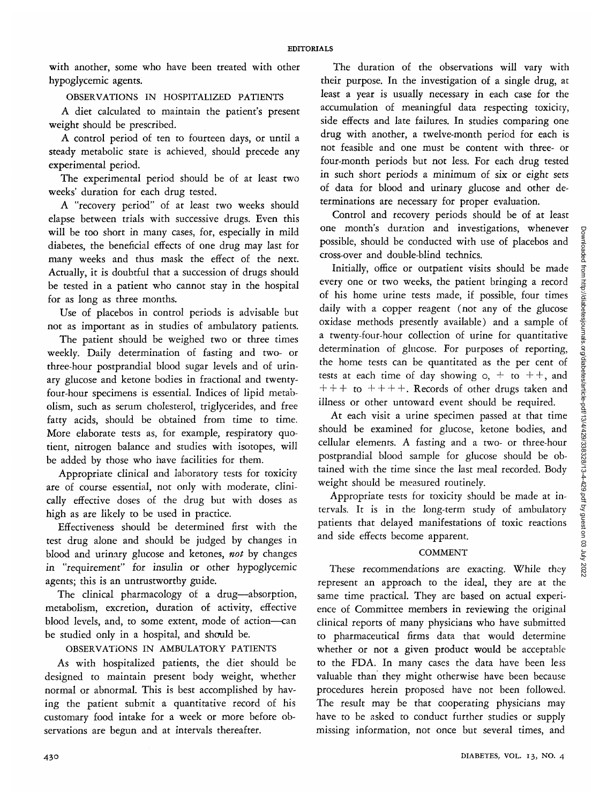with another, some who have been treated with other hypoglycemic agents.

#### OBSERVATIONS IN HOSPITALIZED PATIENTS

A diet calculated to maintain the patient's present weight should be prescribed.

A control period of ten to fourteen days, or until a steady metabolic state is achieved, should precede any experimental period.

The experimental period should be of at least two weeks' duration for each drug tested.

A "recovery period" of at least two weeks should elapse between trials with successive drugs. Even this will be too short in many cases, for, especially in mild diabetes, the beneficial effects of one drug may last for many weeks and thus mask the effect of the next. Actually, it is doubtful that a succession of drugs should be tested in a patient who cannot stay in the hospital for as long as three months.

Use of placebos in control periods is advisable but not as important as in studies of ambulatory patients.

The patient should be weighed two or three times weekly. Daily determination of fasting and two- or three-hour postprandial blood sugar levels and of urinary glucose and ketone bodies in fractional and twentyfour-hour specimens is essential. Indices of lipid metabolism, such as serum cholesterol, triglycerides, and free fatty acids, should be obtained from time to time. More elaborate tests as, for example, respiratory quotient, nitrogen balance and studies with isotopes, will be added by those who have facilities for them.

Appropriate clinical and laboratory tests for toxicity are of course essential, not only with moderate, clinically effective doses of the drug but with doses as high as are likely to be used in practice.

Effectiveness should be determined first with the test drug alone and should be judged by changes in blood and urinary glucose and ketones, *not* by changes in "requirement" for insulin or other hypoglycemic agents; this is an untrustworthy guide.

The clinical pharmacology of a drug—absorption, metabolism, excretion, duration of activity, effective blood levels, and, to some extent, mode of action—can be studied only in a hospital, and should be.

OBSERVATIONS IN AMBULATORY PATIENTS

As with hospitalized patients, the diet should be designed to maintain present body weight, whether normal or abnormal. This is best accomplished by having the patient submit a quantitative record of his customary food intake for a week or more before observations are begun and at intervals thereafter.

The duration of the observations will vary with their purpose. In the investigation of a single drug, at least a year is usually necessary in each case for the accumulation of meaningful data respecting toxicity, side effects and late failures. In studies comparing one drug with another, a twelve-month period for each is not feasible and one must be content with three- or four-month periods but not less. For each drug tested in such short periods a minimum of six or eight sets of data for blood and urinary glucose and other determinations are necessary for proper evaluation.

Control and recovery periods should be of at least one month's duration and investigations, whenever possible, should be conducted with use of placebos and cross-over and double-blind technics.

Initially, office or outpatient visits should be made every one or two weeks, the patient bringing a record of his home urine tests made, if possible, four times daily with a copper reagent (not any of the glucose oxidase methods presently available) and a sample of a twenty-four-hour collection of urine for quantitative determination of glucose. For purposes of reporting, the home tests can be quantitated as the per cent of tests at each time of day showing  $o, +$  to  $++,$  and  $++ +$  to  $++++$ . Records of other drugs taken and illness or other untoward event should be required.

At each visit a urine specimen passed at that time should be examined for glucose, ketone bodies, and cellular elements. A fasting and a two- or three-hour postprandial blood sample for glucose should be obtained with the time since the last meal recorded. Body weight should be measured routinely.

Appropriate tests for toxicity should be made at intervals. It is in the long-term study of ambulatory patients that delayed manifestations of toxic reactions and side effects become apparent.

### **COMMENT**

These recommendations are exacting. While they represent an approach to the ideal, they are at the same time practical. They are based on actual experience of Committee members in reviewing the original clinical reports of many physicians who have submitted to pharmaceutical firms data that would determine whether or not a given product would be acceptable to the FDA. In many cases the data have been less valuable than they might otherwise have been because procedures herein proposed have not been followed. The result may be that cooperating physicians may have to be asked to conduct further studies or supply missing information, not once but several times, and